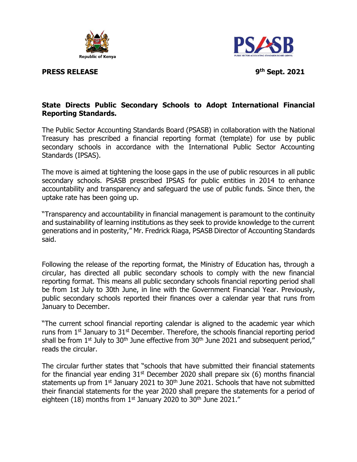

**PRESS RELEASE** 



**th Sept. 2021**

## **State Directs Public Secondary Schools to Adopt International Financial Reporting Standards.**

The Public Sector Accounting Standards Board (PSASB) in collaboration with the National Treasury has prescribed a financial reporting format (template) for use by public secondary schools in accordance with the International Public Sector Accounting Standards (IPSAS).

The move is aimed at tightening the loose gaps in the use of public resources in all public secondary schools. PSASB prescribed IPSAS for public entities in 2014 to enhance accountability and transparency and safeguard the use of public funds. Since then, the uptake rate has been going up.

"Transparency and accountability in financial management is paramount to the continuity and sustainability of learning institutions as they seek to provide knowledge to the current generations and in posterity," Mr. Fredrick Riaga, PSASB Director of Accounting Standards said.

Following the release of the reporting format, the Ministry of Education has, through a circular, has directed all public secondary schools to comply with the new financial reporting format. This means all public secondary schools financial reporting period shall be from 1st July to 30th June, in line with the Government Financial Year. Previously, public secondary schools reported their finances over a calendar year that runs from January to December.

"The current school financial reporting calendar is aligned to the academic year which runs from  $1<sup>st</sup>$  January to  $31<sup>st</sup>$  December. Therefore, the schools financial reporting period shall be from  $1<sup>st</sup>$  July to  $30<sup>th</sup>$  June effective from  $30<sup>th</sup>$  June 2021 and subsequent period," reads the circular.

The circular further states that "schools that have submitted their financial statements for the financial year ending  $31<sup>st</sup>$  December 2020 shall prepare six (6) months financial statements up from 1<sup>st</sup> January 2021 to 30<sup>th</sup> June 2021. Schools that have not submitted their financial statements for the year 2020 shall prepare the statements for a period of eighteen (18) months from  $1<sup>st</sup>$  January 2020 to 30<sup>th</sup> June 2021."